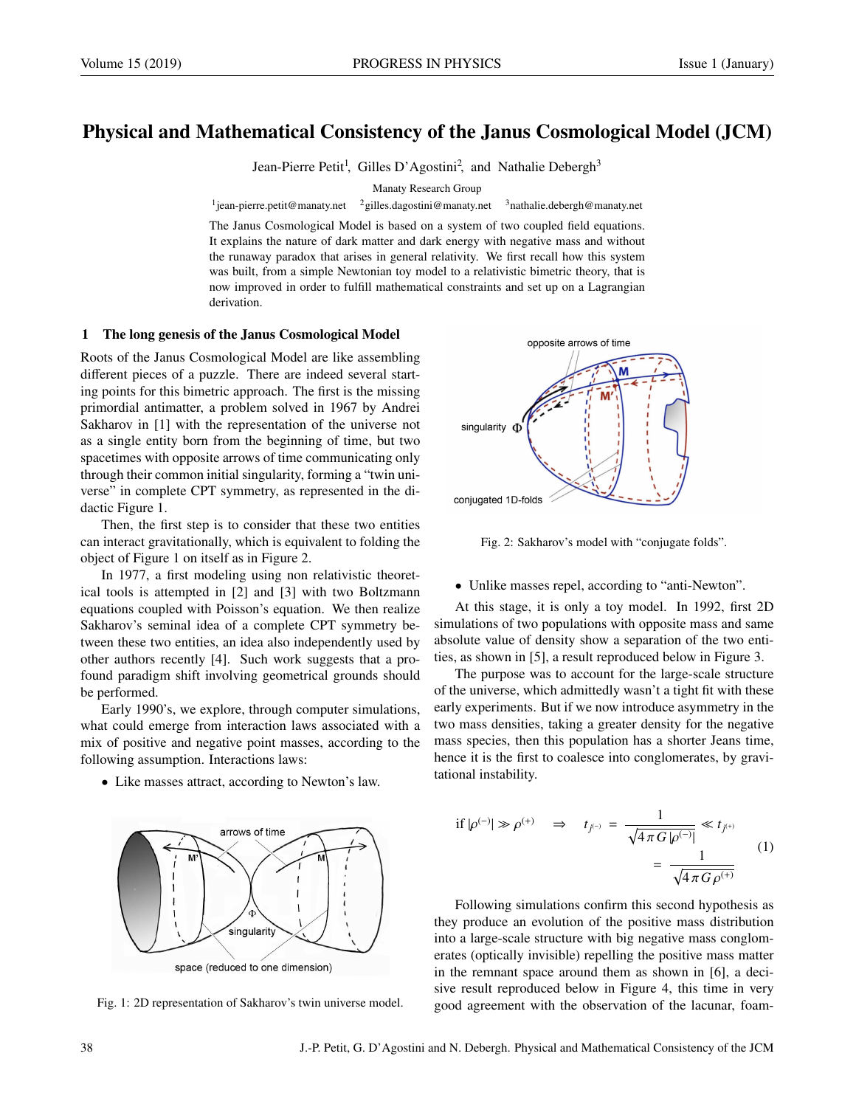# Physical and Mathematical Consistency of the Janus Cosmological Model (JCM)

Jean-Pierre Petit<sup>1</sup>, Gilles D'Agostini<sup>2</sup>, and Nathalie Debergh<sup>3</sup>

Manaty Research Group

<sup>1</sup> jean-pierre.petit@manaty.net 2gilles.dagostini@manaty.net <sup>3</sup>nathalie.debergh@manaty.net

The Janus Cosmological Model is based on a system of two coupled field equations. It explains the nature of dark matter and dark energy with negative mass and without the runaway paradox that arises in general relativity. We first recall how this system was built, from a simple Newtonian toy model to a relativistic bimetric theory, that is now improved in order to fulfill mathematical constraints and set up on a Lagrangian derivation.

#### 1 The long genesis of the Janus Cosmological Model

Roots of the Janus Cosmological Model are like assembling different pieces of a puzzle. There are indeed several starting points for this bimetric approach. The first is the missing primordial antimatter, a problem solved in 1967 by Andrei Sakharov in [1] with the representation of the universe not as a single entity born from the beginning of time, but two spacetimes with opposite arrows of time communicating only through their common initial singularity, forming a "twin universe" in complete CPT symmetry, as represented in the didactic Figure 1.

Then, the first step is to consider that these two entities can interact gravitationally, which is equivalent to folding the object of Figure 1 on itself as in Figure 2.

In 1977, a first modeling using non relativistic theoretical tools is attempted in [2] and [3] with two Boltzmann equations coupled with Poisson's equation. We then realize Sakharov's seminal idea of a complete CPT symmetry between these two entities, an idea also independently used by other authors recently [4]. Such work suggests that a profound paradigm shift involving geometrical grounds should be performed.

Early 1990's, we explore, through computer simulations, what could emerge from interaction laws associated with a mix of positive and negative point masses, according to the following assumption. Interactions laws:

• Like masses attract, according to Newton's law.







Fig. 2: Sakharov's model with "conjugate folds".

• Unlike masses repel, according to "anti-Newton".

At this stage, it is only a toy model. In 1992, first 2D simulations of two populations with opposite mass and same absolute value of density show a separation of the two entities, as shown in [5], a result reproduced below in Figure 3.

The purpose was to account for the large-scale structure of the universe, which admittedly wasn't a tight fit with these early experiments. But if we now introduce asymmetry in the two mass densities, taking a greater density for the negative mass species, then this population has a shorter Jeans time, hence it is the first to coalesce into conglomerates, by gravitational instability.

if 
$$
|\rho^{(-)}| \gg \rho^{(+)}
$$
  $\Rightarrow$   $t_{j^{(-)}} = \frac{1}{\sqrt{4 \pi G |\rho^{(-)}}|} \ll t_{j^{(+)}}$   

$$
= \frac{1}{\sqrt{4 \pi G \rho^{(+)}}}
$$
 (1)

Following simulations confirm this second hypothesis as they produce an evolution of the positive mass distribution into a large-scale structure with big negative mass conglomerates (optically invisible) repelling the positive mass matter in the remnant space around them as shown in [6], a decisive result reproduced below in Figure 4, this time in very good agreement with the observation of the lacunar, foam-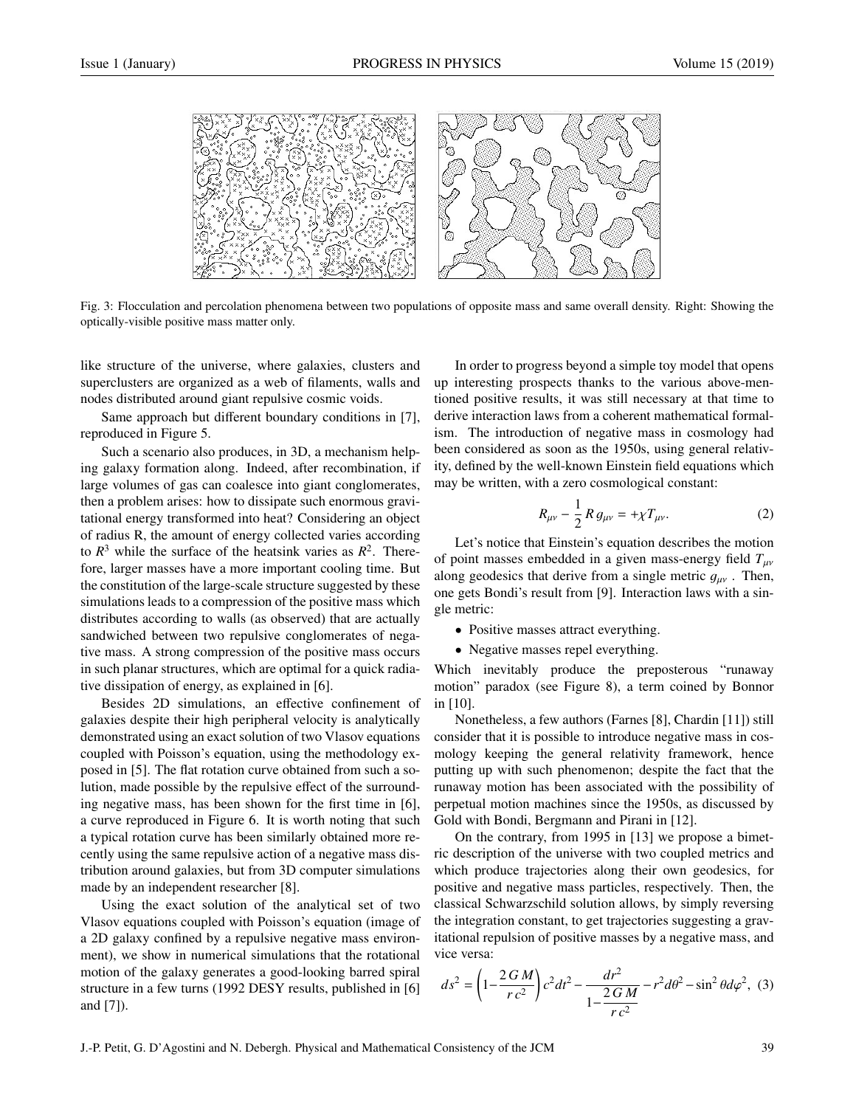

Fig. 3: Flocculation and percolation phenomena between two populations of opposite mass and same overall density. Right: Showing the optically-visible positive mass matter only.

like structure of the universe, where galaxies, clusters and superclusters are organized as a web of filaments, walls and nodes distributed around giant repulsive cosmic voids.

Same approach but different boundary conditions in [7], reproduced in Figure 5.

Such a scenario also produces, in 3D, a mechanism helping galaxy formation along. Indeed, after recombination, if large volumes of gas can coalesce into giant conglomerates, then a problem arises: how to dissipate such enormous gravitational energy transformed into heat? Considering an object of radius R, the amount of energy collected varies according to  $R^3$  while the surface of the heatsink varies as  $R^2$ . Therefore, larger masses have a more important cooling time. But the constitution of the large-scale structure suggested by these simulations leads to a compression of the positive mass which distributes according to walls (as observed) that are actually sandwiched between two repulsive conglomerates of negative mass. A strong compression of the positive mass occurs in such planar structures, which are optimal for a quick radiative dissipation of energy, as explained in [6].

Besides 2D simulations, an effective confinement of galaxies despite their high peripheral velocity is analytically demonstrated using an exact solution of two Vlasov equations coupled with Poisson's equation, using the methodology exposed in [5]. The flat rotation curve obtained from such a solution, made possible by the repulsive effect of the surrounding negative mass, has been shown for the first time in [6], a curve reproduced in Figure 6. It is worth noting that such a typical rotation curve has been similarly obtained more recently using the same repulsive action of a negative mass distribution around galaxies, but from 3D computer simulations made by an independent researcher [8].

Using the exact solution of the analytical set of two Vlasov equations coupled with Poisson's equation (image of a 2D galaxy confined by a repulsive negative mass environment), we show in numerical simulations that the rotational motion of the galaxy generates a good-looking barred spiral structure in a few turns (1992 DESY results, published in [6] and [7]).

In order to progress beyond a simple toy model that opens up interesting prospects thanks to the various above-mentioned positive results, it was still necessary at that time to derive interaction laws from a coherent mathematical formalism. The introduction of negative mass in cosmology had been considered as soon as the 1950s, using general relativity, defined by the well-known Einstein field equations which may be written, with a zero cosmological constant:

$$
R_{\mu\nu} - \frac{1}{2} R g_{\mu\nu} = + \chi T_{\mu\nu}.
$$
 (2)

Let's notice that Einstein's equation describes the motion of point masses embedded in a given mass-energy field  $T_{\mu\nu}$ along geodesics that derive from a single metric  $g_{\mu\nu}$ . Then, one gets Bondi's result from [9]. Interaction laws with a single metric:

• Positive masses attract everything.

• Negative masses repel everything.

Which inevitably produce the preposterous "runaway motion" paradox (see Figure 8), a term coined by Bonnor in [10].

Nonetheless, a few authors (Farnes [8], Chardin [11]) still consider that it is possible to introduce negative mass in cosmology keeping the general relativity framework, hence putting up with such phenomenon; despite the fact that the runaway motion has been associated with the possibility of perpetual motion machines since the 1950s, as discussed by Gold with Bondi, Bergmann and Pirani in [12].

On the contrary, from 1995 in [13] we propose a bimetric description of the universe with two coupled metrics and which produce trajectories along their own geodesics, for positive and negative mass particles, respectively. Then, the classical Schwarzschild solution allows, by simply reversing the integration constant, to get trajectories suggesting a gravitational repulsion of positive masses by a negative mass, and vice versa:

$$
ds^{2} = \left(1 - \frac{2GM}{rc^{2}}\right)c^{2}dt^{2} - \frac{dr^{2}}{1 - \frac{2GM}{rc^{2}}} - r^{2}d\theta^{2} - \sin^{2}\theta d\varphi^{2},
$$
 (3)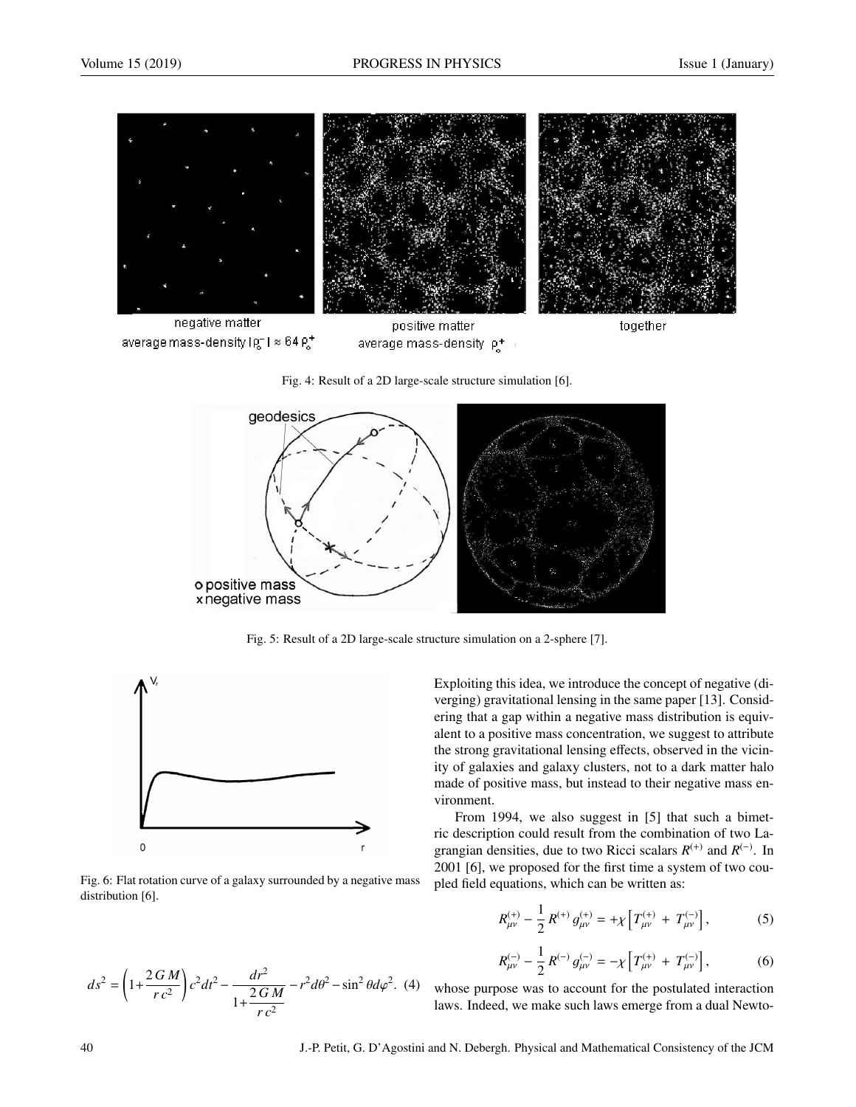

Fig. 4: Result of a 2D large-scale structure simulation [6].



Fig. 5: Result of a 2D large-scale structure simulation on a 2-sphere [7].



Fig. 6: Flat rotation curve of a galaxy surrounded by a negative mass distribution [6].

$$
ds^{2} = \left(1 + \frac{2GM}{rc^{2}}\right)c^{2}dt^{2} - \frac{dr^{2}}{1 + \frac{2GM}{rc^{2}}} - r^{2}d\theta^{2} - \sin^{2}\theta d\varphi^{2}.
$$
 (4)

Exploiting this idea, we introduce the concept of negative (diverging) gravitational lensing in the same paper [13]. Considering that a gap within a negative mass distribution is equivalent to a positive mass concentration, we suggest to attribute the strong gravitational lensing effects, observed in the vicinity of galaxies and galaxy clusters, not to a dark matter halo made of positive mass, but instead to their negative mass environment.

From 1994, we also suggest in [5] that such a bimetric description could result from the combination of two Lagrangian densities, due to two Ricci scalars  $R^{(+)}$  and  $R^{(-)}$ . In 2001 [6], we proposed for the first time a system of two coupled field equations, which can be written as:

$$
R_{\mu\nu}^{(+)} - \frac{1}{2} R^{(+)} g_{\mu\nu}^{(+)} = + \chi \left[ T_{\mu\nu}^{(+)} + T_{\mu\nu}^{(-)} \right],
$$
 (5)

$$
R_{\mu\nu}^{(-)} - \frac{1}{2} R^{(-)} g_{\mu\nu}^{(-)} = -\chi \left[ T_{\mu\nu}^{(+)} + T_{\mu\nu}^{(-)} \right],
$$
 (6)

whose purpose was to account for the postulated interaction laws. Indeed, we make such laws emerge from a dual Newto-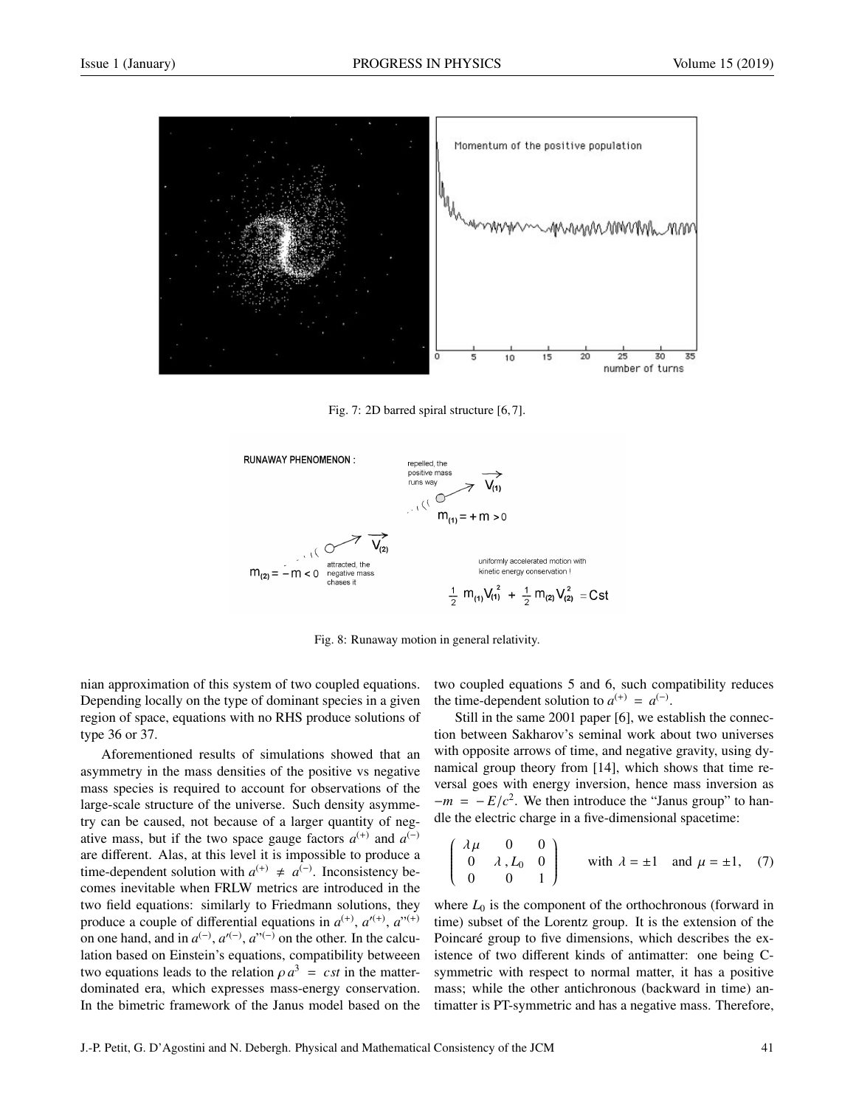

Fig. 7: 2D barred spiral structure [6, 7].



Fig. 8: Runaway motion in general relativity.

nian approximation of this system of two coupled equations. Depending locally on the type of dominant species in a given region of space, equations with no RHS produce solutions of type 36 or 37.

Aforementioned results of simulations showed that an asymmetry in the mass densities of the positive vs negative mass species is required to account for observations of the large-scale structure of the universe. Such density asymmetry can be caused, not because of a larger quantity of negative mass, but if the two space gauge factors  $a^{(+)}$  and  $a^{(-)}$ are different. Alas, at this level it is impossible to produce a time-dependent solution with  $a^{(+)} \neq a^{(-)}$ . Inconsistency becomes inevitable when FRLW metrics are introduced in the two field equations: similarly to Friedmann solutions, they produce a couple of differential equations in  $a^{(+)}$ ,  $a'^{(+)}$ ,  $a''^{(+)}$ on one hand, and in  $a^{(-)}$ ,  $a'^{(-)}$ ,  $a^{\prime(-)}$  on the other. In the calculation based on Einstein's equations, compatibility betweeen two equations leads to the relation  $\rho a^3 = cst$  in the matter-<br>dominated era, which expresses mass-energy conservation dominated era, which expresses mass-energy conservation. In the bimetric framework of the Janus model based on the

two coupled equations 5 and 6, such compatibility reduces the time-dependent solution to  $a^{(+)} = a^{(-)}$ .

Still in the same 2001 paper [6], we establish the connection between Sakharov's seminal work about two universes with opposite arrows of time, and negative gravity, using dynamical group theory from [14], which shows that time reversal goes with energy inversion, hence mass inversion as  $-m = -E/c<sup>2</sup>$ . We then introduce the "Janus group" to han-<br>dle the electric charge in a five-dimensional spacetime: dle the electric charge in a five-dimensional spacetime:

$$
\begin{pmatrix}\n\lambda \mu & 0 & 0 \\
0 & \lambda, L_0 & 0 \\
0 & 0 & 1\n\end{pmatrix}
$$
 with  $\lambda = \pm 1$  and  $\mu = \pm 1$ , (7)

where  $L_0$  is the component of the orthochronous (forward in time) subset of the Lorentz group. It is the extension of the Poincaré group to five dimensions, which describes the existence of two different kinds of antimatter: one being Csymmetric with respect to normal matter, it has a positive mass; while the other antichronous (backward in time) antimatter is PT-symmetric and has a negative mass. Therefore,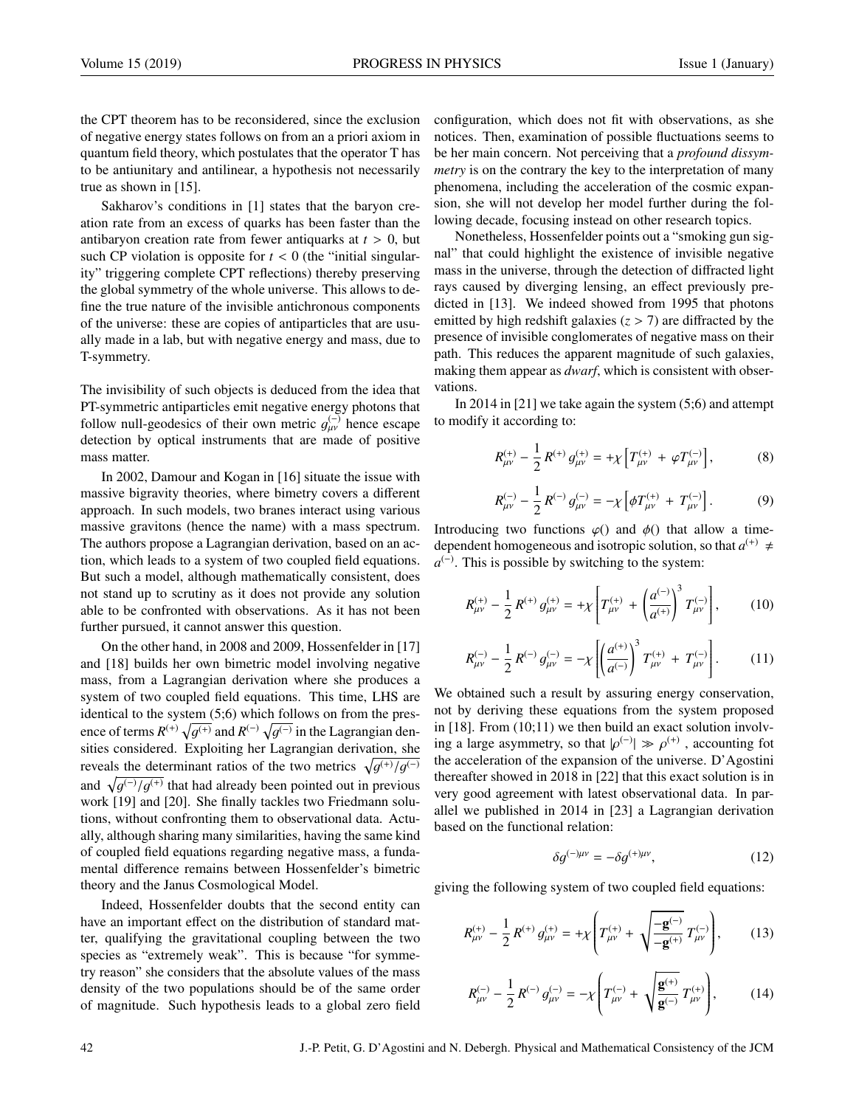the CPT theorem has to be reconsidered, since the exclusion of negative energy states follows on from an a priori axiom in quantum field theory, which postulates that the operator T has to be antiunitary and antilinear, a hypothesis not necessarily true as shown in [15].

Sakharov's conditions in [1] states that the baryon creation rate from an excess of quarks has been faster than the antibaryon creation rate from fewer antiquarks at  $t > 0$ , but such CP violation is opposite for  $t < 0$  (the "initial singularity" triggering complete CPT reflections) thereby preserving the global symmetry of the whole universe. This allows to define the true nature of the invisible antichronous components of the universe: these are copies of antiparticles that are usually made in a lab, but with negative energy and mass, due to T-symmetry.

The invisibility of such objects is deduced from the idea that PT-symmetric antiparticles emit negative energy photons that follow null-geodesics of their own metric  $g_{\mu\nu}^{(-)}$  hence escape<br>detection by optical instruments that are made of positive detection by optical instruments that are made of positive mass matter.

In 2002, Damour and Kogan in [16] situate the issue with massive bigravity theories, where bimetry covers a different approach. In such models, two branes interact using various massive gravitons (hence the name) with a mass spectrum. The authors propose a Lagrangian derivation, based on an action, which leads to a system of two coupled field equations. But such a model, although mathematically consistent, does not stand up to scrutiny as it does not provide any solution able to be confronted with observations. As it has not been further pursued, it cannot answer this question.

On the other hand, in 2008 and 2009, Hossenfelder in [17] and [18] builds her own bimetric model involving negative mass, from a Lagrangian derivation where she produces a system of two coupled field equations. This time, LHS are identical to the system (5;6) which follows on from the presence of terms  $R^{(+)} \sqrt{g^{(+)}}$  and  $R^{(-)} \sqrt{g^{(-)}}$  in the Lagrangian densities considered. Exploiting her Lagrangian derivation, she reveals the determinant ratios of the two metrics  $\sqrt{g^{(+)}/g^{(-)}}$ and  $\sqrt{g^{(-)}/g^{(+)}}$  that had already been pointed out in previous<br>work [10] and [20]. She finally tackles two Friedmann soluwork [19] and [20]. She finally tackles two Friedmann solutions, without confronting them to observational data. Actually, although sharing many similarities, having the same kind of coupled field equations regarding negative mass, a fundamental difference remains between Hossenfelder's bimetric theory and the Janus Cosmological Model.

Indeed, Hossenfelder doubts that the second entity can have an important effect on the distribution of standard matter, qualifying the gravitational coupling between the two species as "extremely weak". This is because "for symmetry reason" she considers that the absolute values of the mass density of the two populations should be of the same order of magnitude. Such hypothesis leads to a global zero field configuration, which does not fit with observations, as she notices. Then, examination of possible fluctuations seems to be her main concern. Not perceiving that a *profound dissymmetry* is on the contrary the key to the interpretation of many phenomena, including the acceleration of the cosmic expansion, she will not develop her model further during the following decade, focusing instead on other research topics.

Nonetheless, Hossenfelder points out a "smoking gun signal" that could highlight the existence of invisible negative mass in the universe, through the detection of diffracted light rays caused by diverging lensing, an effect previously predicted in [13]. We indeed showed from 1995 that photons emitted by high redshift galaxies  $(z > 7)$  are diffracted by the presence of invisible conglomerates of negative mass on their path. This reduces the apparent magnitude of such galaxies, making them appear as *dwarf*, which is consistent with observations.

In 2014 in [21] we take again the system (5;6) and attempt to modify it according to:

$$
R_{\mu\nu}^{(+)} - \frac{1}{2} R^{(+)} g_{\mu\nu}^{(+)} = + \chi \left[ T_{\mu\nu}^{(+)} + \varphi T_{\mu\nu}^{(-)} \right],
$$
 (8)

$$
R_{\mu\nu}^{(-)} - \frac{1}{2} R^{(-)} g_{\mu\nu}^{(-)} = -\chi \left[ \phi T_{\mu\nu}^{(+)} + T_{\mu\nu}^{(-)} \right]. \tag{9}
$$

Introducing two functions  $\varphi()$  and  $\varphi()$  that allow a timedependent homogeneous and isotropic solution, so that  $a^{(+)} \neq$  $a^{(-)}$ . This is possible by switching to the system:

$$
R_{\mu\nu}^{(+)} - \frac{1}{2} R^{(+)} g_{\mu\nu}^{(+)} = + \chi \left[ T_{\mu\nu}^{(+)} + \left( \frac{a^{(-)}}{a^{(+)}} \right)^3 T_{\mu\nu}^{(-)} \right], \tag{10}
$$

$$
R_{\mu\nu}^{(-)} - \frac{1}{2} R^{(-)} g_{\mu\nu}^{(-)} = -\chi \left[ \left( \frac{a^{(+)}}{a^{(-)}} \right)^3 T_{\mu\nu}^{(+)} + T_{\mu\nu}^{(-)} \right]. \tag{11}
$$

We obtained such a result by assuring energy conservation, not by deriving these equations from the system proposed in [18]. From (10;11) we then build an exact solution involving a large asymmetry, so that  $|\rho^{(-)}| \gg \rho^{(+)}$ , accounting fot<br>the acceleration of the expansion of the universe. D'Agostini the acceleration of the expansion of the universe. D'Agostini thereafter showed in 2018 in [22] that this exact solution is in very good agreement with latest observational data. In parallel we published in 2014 in [23] a Lagrangian derivation based on the functional relation:

$$
\delta g^{(-)\mu\nu} = -\delta g^{(+)\mu\nu},\qquad(12)
$$

giving the following system of two coupled field equations:

$$
R_{\mu\nu}^{(+)} - \frac{1}{2} R^{(+)} g_{\mu\nu}^{(+)} = + \chi \left( T_{\mu\nu}^{(+)} + \sqrt{\frac{-\mathbf{g}^{(-)}}{-\mathbf{g}^{(+)}}} T_{\mu\nu}^{(-)} \right), \quad (13)
$$

$$
R_{\mu\nu}^{(-)} - \frac{1}{2} R^{(-)} g_{\mu\nu}^{(-)} = -\chi \left( T_{\mu\nu}^{(-)} + \sqrt{\frac{\mathbf{g}^{(+)}}{\mathbf{g}^{(-)}}} T_{\mu\nu}^{(+)} \right), \quad (14)
$$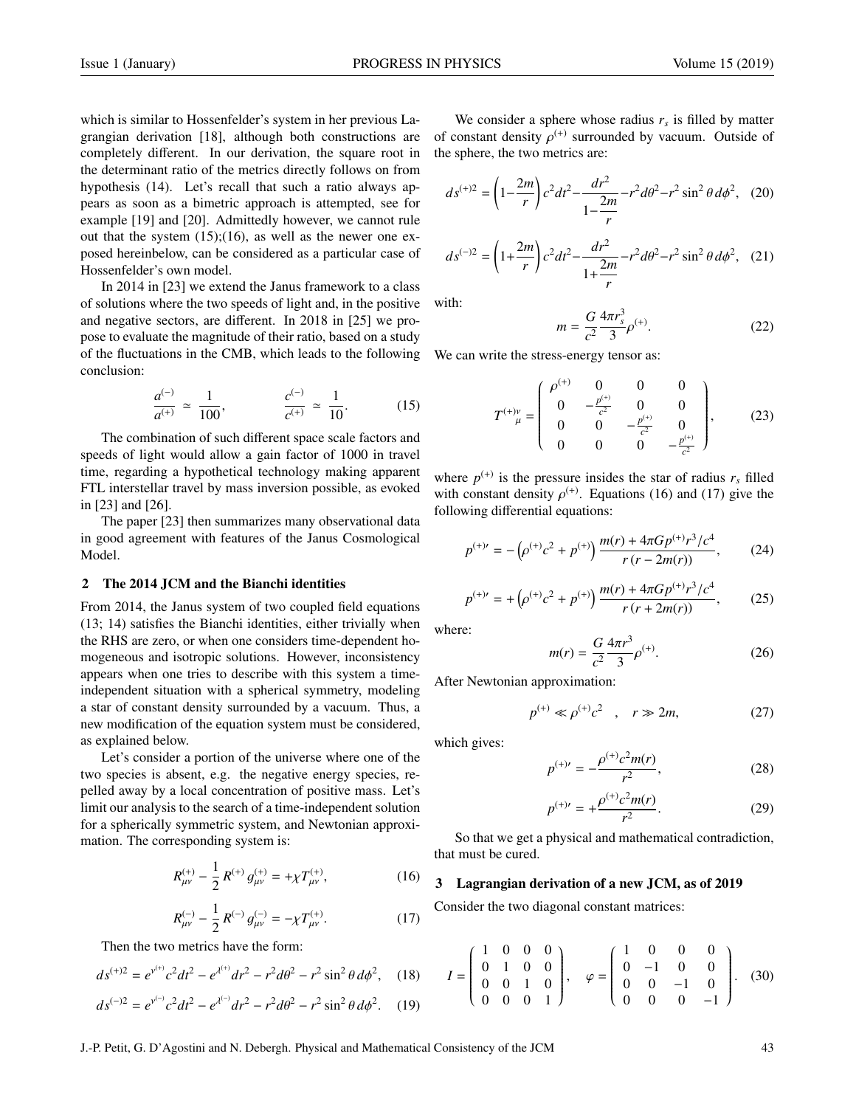which is similar to Hossenfelder's system in her previous Lagrangian derivation [18], although both constructions are completely different. In our derivation, the square root in the determinant ratio of the metrics directly follows on from hypothesis (14). Let's recall that such a ratio always appears as soon as a bimetric approach is attempted, see for example [19] and [20]. Admittedly however, we cannot rule out that the system  $(15)$ ; $(16)$ , as well as the newer one exposed hereinbelow, can be considered as a particular case of Hossenfelder's own model.

In 2014 in [23] we extend the Janus framework to a class of solutions where the two speeds of light and, in the positive and negative sectors, are different. In 2018 in [25] we propose to evaluate the magnitude of their ratio, based on a study of the fluctuations in the CMB, which leads to the following conclusion:

$$
\frac{a^{(-)}}{a^{(+)}} \simeq \frac{1}{100}, \qquad \frac{c^{(-)}}{c^{(+)}} \simeq \frac{1}{10}.
$$
 (15)

The combination of such different space scale factors and speeds of light would allow a gain factor of 1000 in travel time, regarding a hypothetical technology making apparent FTL interstellar travel by mass inversion possible, as evoked in [23] and [26].

The paper [23] then summarizes many observational data in good agreement with features of the Janus Cosmological Model.

# 2 The 2014 JCM and the Bianchi identities

From 2014, the Janus system of two coupled field equations (13; 14) satisfies the Bianchi identities, either trivially when the RHS are zero, or when one considers time-dependent homogeneous and isotropic solutions. However, inconsistency appears when one tries to describe with this system a timeindependent situation with a spherical symmetry, modeling a star of constant density surrounded by a vacuum. Thus, a new modification of the equation system must be considered, as explained below.

Let's consider a portion of the universe where one of the two species is absent, e.g. the negative energy species, repelled away by a local concentration of positive mass. Let's limit our analysis to the search of a time-independent solution for a spherically symmetric system, and Newtonian approximation. The corresponding system is:

$$
R_{\mu\nu}^{(+)} - \frac{1}{2} R^{(+)} g_{\mu\nu}^{(+)} = + \chi T_{\mu\nu}^{(+)}, \tag{16}
$$

$$
R_{\mu\nu}^{(-)} - \frac{1}{2} R^{(-)} g_{\mu\nu}^{(-)} = -\chi T_{\mu\nu}^{(+)}.
$$
 (17)

Then the two metrics have the form:

$$
ds^{(+)2} = e^{y^{(+)}}c^2dt^2 - e^{y^{(+)}}dr^2 - r^2d\theta^2 - r^2\sin^2\theta d\phi^2, \quad (18)
$$

$$
ds^{(-)2} = e^{\gamma^{(-)}}c^2dt^2 - e^{\lambda^{(-)}}dr^2 - r^2d\theta^2 - r^2\sin^2\theta\,d\phi^2. \quad (19)
$$

We consider a sphere whose radius  $r<sub>s</sub>$  is filled by matter of constant density  $\rho^{(+)}$  surrounded by vacuum. Outside of the sphere the two metrics are: the sphere, the two metrics are:

$$
ds^{(+)2} = \left(1 - \frac{2m}{r}\right)c^2dt^2 - \frac{dr^2}{1 - \frac{2m}{r}} - r^2d\theta^2 - r^2\sin^2\theta\,d\phi^2,\tag{20}
$$

$$
ds^{(-)2} = \left(1 + \frac{2m}{r}\right)c^2dt^2 - \frac{dr^2}{1 + \frac{2m}{r}} - r^2d\theta^2 - r^2\sin^2\theta\,d\phi^2,\tag{21}
$$

with:

$$
m = \frac{G}{c^2} \frac{4\pi r_s^3}{3} \rho^{(+)}.
$$
 (22)

We can write the stress-energy tensor as:

$$
T^{(+)\nu}_{\mu} = \begin{pmatrix} \rho^{(+)} & 0 & 0 & 0 \\ 0 & -\frac{p^{(+)}}{c^2} & 0 & 0 \\ 0 & 0 & -\frac{p^{(+)}}{c^2} & 0 \\ 0 & 0 & 0 & -\frac{p^{(+)}}{c^2} \end{pmatrix}, \qquad (23)
$$

where  $p^{(+)}$  is the pressure insides the star of radius  $r_s$  filled with constant density  $\rho^{(+)}$ . Equations (16) and (17) give the following differential equations: following differential equations:

$$
p^{(+)}{}' = -\left(p^{(+)}c^2 + p^{(+)}\right)\frac{m(r) + 4\pi G p^{(+)}r^3/c^4}{r(r - 2m(r))},\tag{24}
$$

$$
p^{(+)} = + \left(p^{(+)}c^2 + p^{(+)}\right) \frac{m(r) + 4\pi G p^{(+)}r^3/c^4}{r(r+2m(r))},\tag{25}
$$

where:

*p*

$$
m(r) = \frac{G}{c^2} \frac{4\pi r^3}{3} \rho^{(+)}.
$$
 (26)

After Newtonian approximation:

$$
p^{(+)} \ll \rho^{(+)}c^2
$$
,  $r \gg 2m$ , (27)

which gives:

$$
p^{(+)} = -\frac{\rho^{(+)}c^2m(r)}{r^2},\tag{28}
$$

$$
p^{(+)} = +\frac{\rho^{(+)}c^2m(r)}{r^2}.
$$
 (29)

So that we get a physical and mathematical contradiction, that must be cured.

# 3 Lagrangian derivation of a new JCM, as of 2019

Consider the two diagonal constant matrices:

$$
I = \begin{pmatrix} 1 & 0 & 0 & 0 \\ 0 & 1 & 0 & 0 \\ 0 & 0 & 1 & 0 \\ 0 & 0 & 0 & 1 \end{pmatrix}, \quad \varphi = \begin{pmatrix} 1 & 0 & 0 & 0 \\ 0 & -1 & 0 & 0 \\ 0 & 0 & -1 & 0 \\ 0 & 0 & 0 & -1 \end{pmatrix}.
$$
 (30)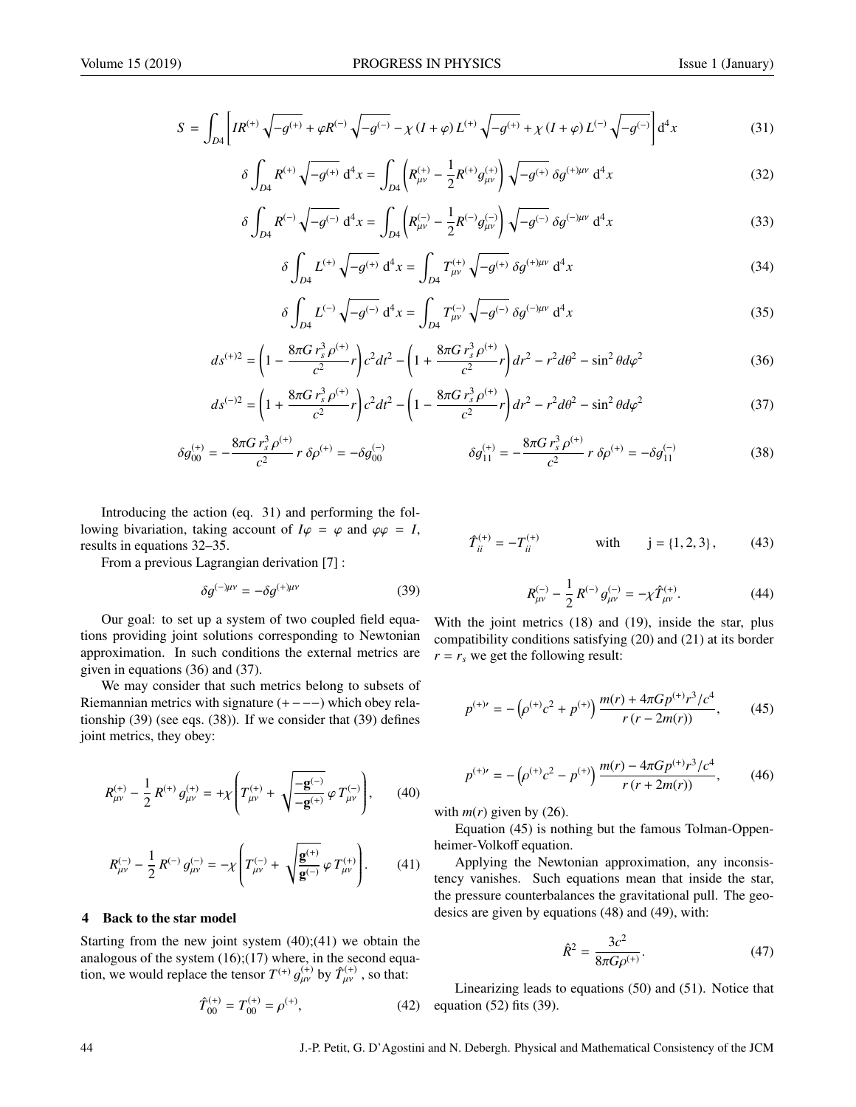$$
S = \int_{D4} \left[ IR^{(+)} \sqrt{-g^{(+)}} + \varphi R^{(-)} \sqrt{-g^{(-)}} - \chi (I + \varphi) L^{(+)} \sqrt{-g^{(+)}} + \chi (I + \varphi) L^{(-)} \sqrt{-g^{(-)}} \right] d^4 x \tag{31}
$$

$$
\delta \int_{D4} R^{(+)} \sqrt{-g^{(+)}} \, d^4 x = \int_{D4} \left( R^{(+)}_{\mu\nu} - \frac{1}{2} R^{(+)} g^{(+)}_{\mu\nu} \right) \sqrt{-g^{(+)}} \, \delta g^{(+)\mu\nu} \, d^4 x \tag{32}
$$

$$
\delta \int_{D4} R^{(-)} \sqrt{-g^{(-)}} \, d^4 x = \int_{D4} \left( R^{(-)}_{\mu\nu} - \frac{1}{2} R^{(-)} g^{(-)}_{\mu\nu} \right) \sqrt{-g^{(-)}} \, \delta g^{(-)\mu\nu} \, d^4 x \tag{33}
$$

$$
\delta \int_{D4} L^{(+)} \sqrt{-g^{(+)}} \, \mathrm{d}^4 x = \int_{D4} T^{(+)}_{\mu\nu} \sqrt{-g^{(+)}} \, \delta g^{(+)\mu\nu} \, \mathrm{d}^4 x \tag{34}
$$

$$
\delta \int_{D4} L^{(-)} \sqrt{-g^{(-)}} \, \mathrm{d}^4 x = \int_{D4} T^{(-)}_{\mu\nu} \sqrt{-g^{(-)}} \, \delta g^{(-)\mu\nu} \, \mathrm{d}^4 x \tag{35}
$$

$$
ds^{(+)2} = \left(1 - \frac{8\pi G r_s^3 \rho^{(+)}}{c^2}r\right)c^2 dt^2 - \left(1 + \frac{8\pi G r_s^3 \rho^{(+)}}{c^2}r\right)dr^2 - r^2 d\theta^2 - \sin^2\theta d\varphi^2\tag{36}
$$

$$
ds^{(-)2} = \left(1 + \frac{8\pi G r_s^3 \rho^{(+)}}{c^2}r\right)c^2 dt^2 - \left(1 - \frac{8\pi G r_s^3 \rho^{(+)}}{c^2}r\right)dr^2 - r^2 d\theta^2 - \sin^2\theta d\varphi^2\tag{37}
$$

$$
\delta g_{00}^{(+)} = -\frac{8\pi G r_s^3 \rho^{(+)}}{c^2} r \, \delta \rho^{(+)} = -\delta g_{00}^{(-)} \qquad \delta g_{11}^{(+)} = -\frac{8\pi G r_s^3 \rho^{(+)}}{c^2} r \, \delta \rho^{(+)} = -\delta g_{11}^{(-)} \qquad (38)
$$

Introducing the action (eq. 31) and performing the following bivariation, taking account of  $I\varphi = \varphi$  and  $\varphi\varphi = I$ , results in equations 32–35.

From a previous Lagrangian derivation [7] :

$$
\delta g^{(-)\mu\nu} = -\delta g^{(+)\mu\nu} \tag{39}
$$

Our goal: to set up a system of two coupled field equations providing joint solutions corresponding to Newtonian approximation. In such conditions the external metrics are given in equations (36) and (37).

We may consider that such metrics belong to subsets of Riemannian metrics with signature (+−−−) which obey relationship (39) (see eqs. (38)). If we consider that (39) defines joint metrics, they obey:

$$
R_{\mu\nu}^{(+)} - \frac{1}{2} R^{(+)} g_{\mu\nu}^{(+)} = + \chi \left( T_{\mu\nu}^{(+)} + \sqrt{\frac{-\mathbf{g}^{(-)}}{-\mathbf{g}^{(+)}} \varphi T_{\mu\nu}^{(-)}} \right), \qquad (40)
$$

$$
R_{\mu\nu}^{(-)} - \frac{1}{2} R^{(-)} g_{\mu\nu}^{(-)} = -\chi \left( T_{\mu\nu}^{(-)} + \sqrt{\frac{\mathbf{g}^{(+)}}{\mathbf{g}^{(-)}}} \varphi T_{\mu\nu}^{(+)} \right). \tag{41}
$$

#### 4 Back to the star model

Starting from the new joint system  $(40)$ ; $(41)$  we obtain the analogous of the system (16);(17) where, in the second equation, we would replace the tensor  $T^{(+)}$  $\ddot{\phantom{0}}$  $_{\mu\nu}^{(+)}$  by  $\hat{T}_{\mu\nu}^{(+)}$ , so that:

$$
\hat{T}_{00}^{(+)} = T_{00}^{(+)} = \rho^{(+)},\tag{42}
$$

$$
\hat{T}_{ii}^{(+)} = -T_{ii}^{(+)} \qquad \text{with} \qquad j = \{1, 2, 3\}, \qquad (43)
$$

$$
R_{\mu\nu}^{(-)} - \frac{1}{2} R^{(-)} g_{\mu\nu}^{(-)} = -\chi \hat{T}_{\mu\nu}^{(+)}.
$$
 (44)

With the joint metrics (18) and (19), inside the star, plus compatibility conditions satisfying (20) and (21) at its border  $r = r_s$  we get the following result:

$$
p^{(+)} = -\left(p^{(+)}c^2 + p^{(+)}\right)\frac{m(r) + 4\pi G p^{(+)}r^3/c^4}{r(r - 2m(r))},\tag{45}
$$

$$
p^{(+)'} = -\left(p^{(+)}c^2 - p^{(+)}\right)\frac{m(r) - 4\pi Gp^{(+)}r^3/c^4}{r(r+2m(r))},\tag{46}
$$

with  $m(r)$  given by (26).

Equation (45) is nothing but the famous Tolman-Oppenheimer-Volkoff equation.

Applying the Newtonian approximation, any inconsistency vanishes. Such equations mean that inside the star, the pressure counterbalances the gravitational pull. The geodesics are given by equations (48) and (49), with:

$$
\hat{R}^2 = \frac{3c^2}{8\pi G\rho^{(+)}}.
$$
\n(47)

Linearizing leads to equations (50) and (51). Notice that equation (52) fits (39).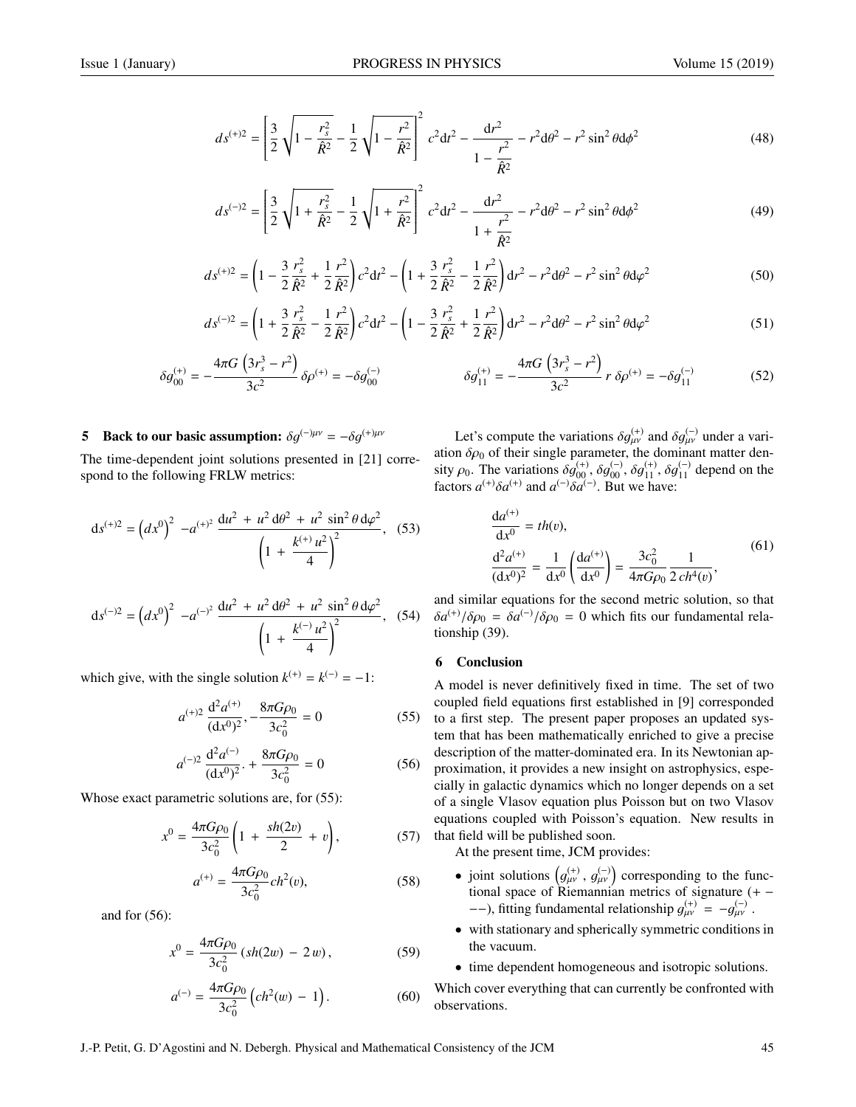$$
ds^{(+)2} = \left[\frac{3}{2}\sqrt{1 - \frac{r_s^2}{\hat{R}^2}} - \frac{1}{2}\sqrt{1 - \frac{r^2}{\hat{R}^2}}\right]^2 c^2 dt^2 - \frac{dr^2}{1 - \frac{r^2}{\hat{R}^2}} - r^2 d\theta^2 - r^2 \sin^2 \theta d\phi^2
$$
 (48)

$$
ds^{(-)2} = \left[\frac{3}{2}\sqrt{1 + \frac{r_s^2}{\hat{R}^2}} - \frac{1}{2}\sqrt{1 + \frac{r^2}{\hat{R}^2}}\right]^2 c^2 dt^2 - \frac{dr^2}{1 + \frac{r^2}{\hat{R}^2}} - r^2 d\theta^2 - r^2 \sin^2\theta d\phi^2
$$
 (49)

$$
ds^{(+)2} = \left(1 - \frac{3}{2}\frac{r_s^2}{\hat{R}^2} + \frac{1}{2}\frac{r^2}{\hat{R}^2}\right)c^2dt^2 - \left(1 + \frac{3}{2}\frac{r_s^2}{\hat{R}^2} - \frac{1}{2}\frac{r^2}{\hat{R}^2}\right)dr^2 - r^2d\theta^2 - r^2\sin^2\theta d\varphi^2\tag{50}
$$

$$
ds^{(-)2} = \left(1 + \frac{3}{2}\frac{r_s^2}{\hat{R}^2} - \frac{1}{2}\frac{r^2}{\hat{R}^2}\right)c^2dt^2 - \left(1 - \frac{3}{2}\frac{r_s^2}{\hat{R}^2} + \frac{1}{2}\frac{r^2}{\hat{R}^2}\right)dr^2 - r^2d\theta^2 - r^2\sin^2\theta d\varphi^2\tag{51}
$$

$$
\delta g_{00}^{(+)} = -\frac{4\pi G \left(3r_s^3 - r^2\right)}{3c^2} \delta \rho^{(+)} = -\delta g_{00}^{(-)} \qquad \qquad \delta g_{11}^{(+)} = -\frac{4\pi G \left(3r_s^3 - r^2\right)}{3c^2} r \delta \rho^{(+)} = -\delta g_{11}^{(-)} \qquad (52)
$$

## **5** Back to our basic assumption:  $\delta q^{(-)\mu\nu} = -\delta q^{(+)\mu\nu}$

The time-dependent joint solutions presented in [21] correspond to the following FRLW metrics:

$$
ds^{(+)2} = (dx^0)^2 - a^{(+)^2} \frac{du^2 + u^2 d\theta^2 + u^2 \sin^2 \theta d\varphi^2}{\left(1 + \frac{k^{(+)} u^2}{4}\right)^2},
$$
 (53)

$$
ds^{(-)2} = \left(dx^0\right)^2 \ -a^{(-)^2} \frac{du^2 + u^2 d\theta^2 + u^2 \sin^2 \theta d\varphi^2}{\left(1 + \frac{k^{(-)} u^2}{4}\right)^2}, \quad (54)
$$

which give, with the single solution  $k^{(+)} = k^{(-)} = -1$ :

$$
a^{(+)2} \frac{d^2 a^{(+)}}{(dx^0)^2}, -\frac{8\pi G \rho_0}{3c_0^2} = 0
$$
 (55)

$$
a^{(-)2} \frac{d^2 a^{(-)}}{(dx^0)^2} + \frac{8\pi G \rho_0}{3c_0^2} = 0
$$
 (56)

Whose exact parametric solutions are, for (55):

$$
x^{0} = \frac{4\pi G\rho_{0}}{3c_{0}^{2}} \left(1 + \frac{sh(2v)}{2} + v\right),
$$
 (57)

$$
a^{(+)} = \frac{4\pi G\rho_0}{3c_0^2} ch^2(v),\tag{58}
$$

and for (56):

$$
x^{0} = \frac{4\pi G\rho_{0}}{3c_{0}^{2}}\left(sh(2w) - 2w\right),\tag{59}
$$

$$
a^{(-)} = \frac{4\pi G\rho_0}{3c_0^2} \left( ch^2(w) - 1 \right). \tag{60}
$$

Let's compute the variations  $\delta g_{\mu\nu}^{(+)}$  and  $\delta g_{\mu\nu}^{(-)}$  under a vari-<br>n  $\delta \alpha$  of their single parameter the dominant matter denation  $\delta \rho_0$  of their single parameter, the dominant matter den-<br>sity  $\rho_0$ . The variations  $\delta q^{(+)}$ ,  $\delta q^{(+)}$ ,  $\delta q^{(+)}$ ,  $\delta q^{(-)}$  denend on the sity  $\rho_0$ . The variations  $\delta g_{00}^{(+)}$ ,  $\delta g_{00}^{(-)}$ ,  $\delta g_{11}^{(+)}$ ,  $\delta g_{11}^{(-)}$  depend on the factors  $q^{(+)}\delta q^{(+)}$  and  $q^{(-)}\delta q^{(-)}$ . But we have: factors  $a^{(+)}\delta a^{(+)}$  and  $a^{(-)}\delta a^{(-)}$ . But we have:

$$
\frac{da^{(+)}}{dx^0} = th(v),
$$
\n
$$
\frac{d^2a^{(+)}}{(dx^0)^2} = \frac{1}{dx^0} \left(\frac{da^{(+)}}{dx^0}\right) = \frac{3c_0^2}{4\pi G\rho_0} \frac{1}{2\,ch^4(v)},
$$
\n(61)

and similar equations for the second metric solution, so that  $\delta a^{(+)} / \delta \rho_0 = \delta a^{(-)} / \delta \rho_0 = 0$  which fits our fundamental relationship (39) tionship (39).

# 6 Conclusion

A model is never definitively fixed in time. The set of two coupled field equations first established in [9] corresponded to a first step. The present paper proposes an updated system that has been mathematically enriched to give a precise description of the matter-dominated era. In its Newtonian approximation, it provides a new insight on astrophysics, especially in galactic dynamics which no longer depends on a set of a single Vlasov equation plus Poisson but on two Vlasov equations coupled with Poisson's equation. New results in that field will be published soon.

At the present time, JCM provides:

- joint solutions  $(g_{\mu\nu}^{(+)}, g_{\mu\nu}^{(-)})$  corresponding to the func-<br>tional space of Biamonnian matrice of cignature ( tional space of Riemannian metrics of signature  $(+-)$ −−), fitting fundamental relationship  $g_{\mu\nu}^{(+)} = -g_{\mu\nu}^{(-)}$ .
- with stationary and spherically symmetric conditions in the vacuum.

• time dependent homogeneous and isotropic solutions.

Which cover everything that can currently be confronted with observations.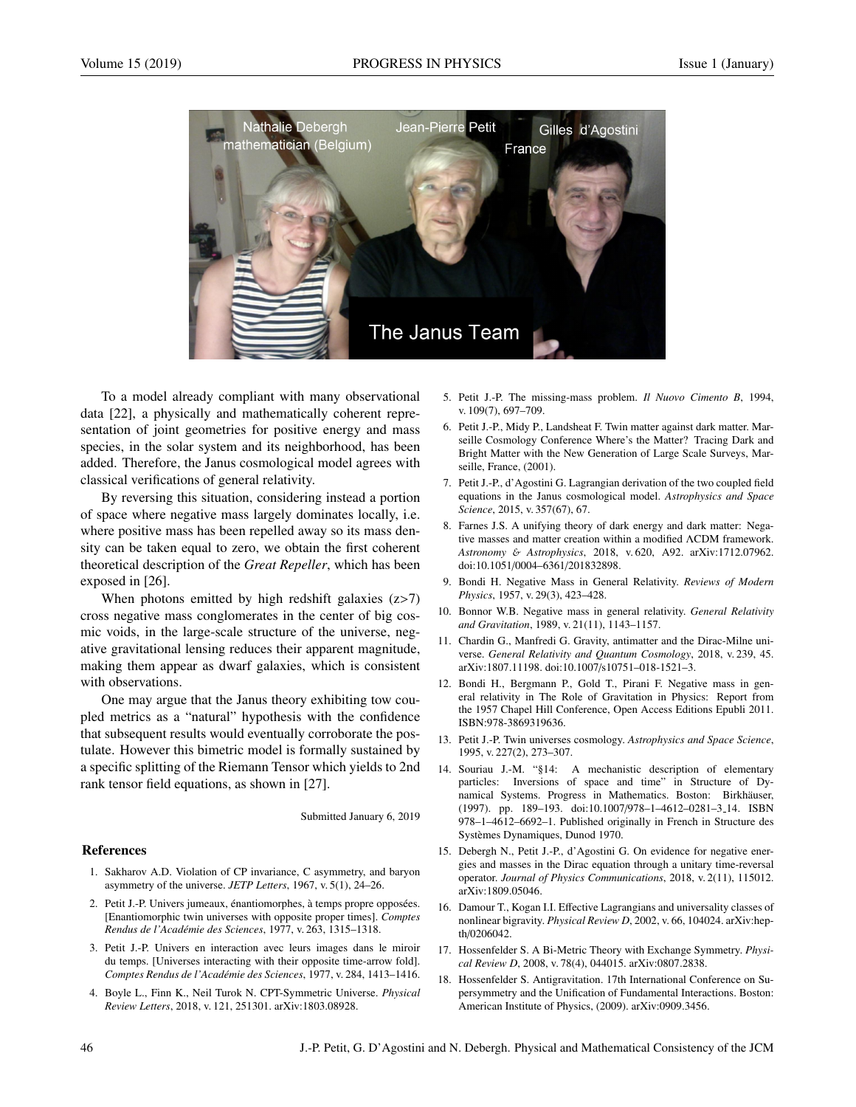

To a model already compliant with many observational data [22], a physically and mathematically coherent representation of joint geometries for positive energy and mass species, in the solar system and its neighborhood, has been added. Therefore, the Janus cosmological model agrees with classical verifications of general relativity.

By reversing this situation, considering instead a portion of space where negative mass largely dominates locally, i.e. where positive mass has been repelled away so its mass density can be taken equal to zero, we obtain the first coherent theoretical description of the *Great Repeller*, which has been exposed in [26].

When photons emitted by high redshift galaxies  $(z>7)$ cross negative mass conglomerates in the center of big cosmic voids, in the large-scale structure of the universe, negative gravitational lensing reduces their apparent magnitude, making them appear as dwarf galaxies, which is consistent with observations.

One may argue that the Janus theory exhibiting tow coupled metrics as a "natural" hypothesis with the confidence that subsequent results would eventually corroborate the postulate. However this bimetric model is formally sustained by a specific splitting of the Riemann Tensor which yields to 2nd rank tensor field equations, as shown in [27].

Submitted January 6, 2019

# References

- 1. Sakharov A.D. Violation of CP invariance, C asymmetry, and baryon asymmetry of the universe. *JETP Letters*, 1967, v. 5(1), 24–26.
- 2. Petit J.-P. Univers jumeaux, énantiomorphes, à temps propre opposées. [Enantiomorphic twin universes with opposite proper times]. *Comptes Rendus de l'Acad´emie des Sciences*, 1977, v. 263, 1315–1318.
- 3. Petit J.-P. Univers en interaction avec leurs images dans le miroir du temps. [Universes interacting with their opposite time-arrow fold]. *Comptes Rendus de l'Acad´emie des Sciences*, 1977, v. 284, 1413–1416.
- 4. Boyle L., Finn K., Neil Turok N. CPT-Symmetric Universe. *Physical Review Letters*, 2018, v. 121, 251301. arXiv:1803.08928.
- 5. Petit J.-P. The missing-mass problem. *Il Nuovo Cimento B*, 1994, v. 109(7), 697–709.
- 6. Petit J.-P., Midy P., Landsheat F. Twin matter against dark matter. Marseille Cosmology Conference Where's the Matter? Tracing Dark and Bright Matter with the New Generation of Large Scale Surveys, Marseille, France, (2001).
- 7. Petit J.-P., d'Agostini G. Lagrangian derivation of the two coupled field equations in the Janus cosmological model. *Astrophysics and Space Science*, 2015, v. 357(67), 67.
- 8. Farnes J.S. A unifying theory of dark energy and dark matter: Negative masses and matter creation within a modified ΛCDM framework. *Astronomy* & *Astrophysics*, 2018, v. 620, A92. arXiv:1712.07962. doi:10.1051/0004–6361/201832898.
- 9. Bondi H. Negative Mass in General Relativity. *Reviews of Modern Physics*, 1957, v. 29(3), 423–428.
- 10. Bonnor W.B. Negative mass in general relativity. *General Relativity and Gravitation*, 1989, v. 21(11), 1143–1157.
- 11. Chardin G., Manfredi G. Gravity, antimatter and the Dirac-Milne universe. *General Relativity and Quantum Cosmology*, 2018, v. 239, 45. arXiv:1807.11198. doi:10.1007/s10751–018-1521–3.
- 12. Bondi H., Bergmann P., Gold T., Pirani F. Negative mass in general relativity in The Role of Gravitation in Physics: Report from the 1957 Chapel Hill Conference, Open Access Editions Epubli 2011. ISBN:978-3869319636.
- 13. Petit J.-P. Twin universes cosmology. *Astrophysics and Space Science*, 1995, v. 227(2), 273–307.
- 14. Souriau J.-M. "§14: A mechanistic description of elementary particles: Inversions of space and time" in Structure of Dynamical Systems. Progress in Mathematics. Boston: Birkhäuser, (1997). pp. 189–193. doi:10.1007/978–1–4612–0281–3 14. ISBN 978–1–4612–6692–1. Published originally in French in Structure des Systemes Dynamiques, Dunod 1970. `
- 15. Debergh N., Petit J.-P., d'Agostini G. On evidence for negative energies and masses in the Dirac equation through a unitary time-reversal operator. *Journal of Physics Communications*, 2018, v. 2(11), 115012. arXiv:1809.05046.
- 16. Damour T., Kogan I.I. Effective Lagrangians and universality classes of nonlinear bigravity. *Physical Review D*, 2002, v. 66, 104024. arXiv:hepth/0206042.
- 17. Hossenfelder S. A Bi-Metric Theory with Exchange Symmetry. *Physical Review D*, 2008, v. 78(4), 044015. arXiv:0807.2838.
- 18. Hossenfelder S. Antigravitation. 17th International Conference on Supersymmetry and the Unification of Fundamental Interactions. Boston: American Institute of Physics, (2009). arXiv:0909.3456.